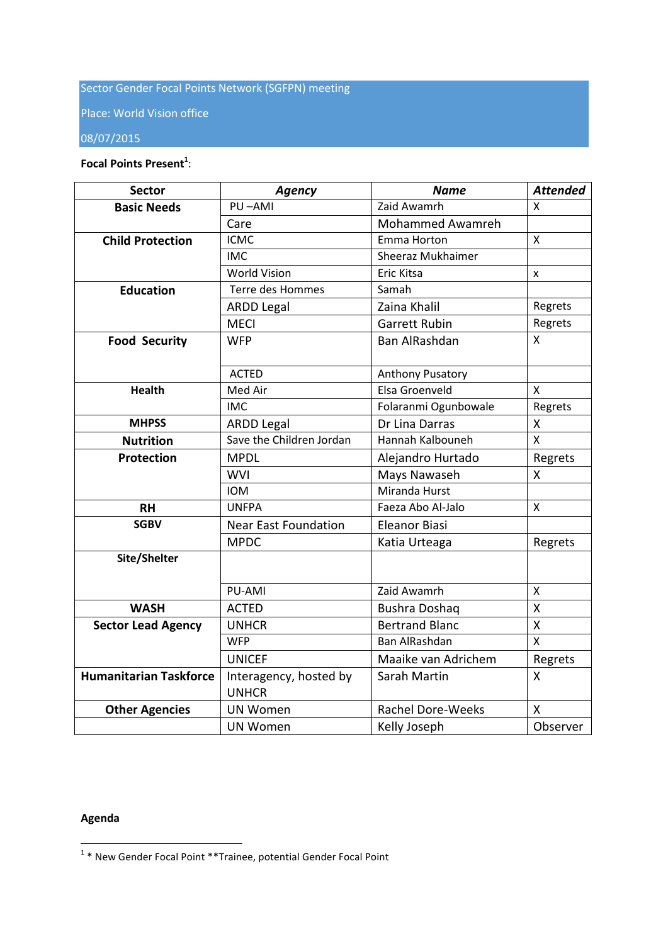# Sector Gender Focal Points Network (SGFPN) meeting

Place: World Vision office

## 08/07/2015

### **Focal Points Present<sup>1</sup>** :

| <b>Sector</b>                 | <b>Agency</b>               | <b>Name</b>              | <b>Attended</b>         |
|-------------------------------|-----------------------------|--------------------------|-------------------------|
| <b>Basic Needs</b>            | PU-AMI                      | Zaid Awamrh              | X                       |
|                               | Care                        | Mohammed Awamreh         |                         |
| <b>Child Protection</b>       | <b>ICMC</b>                 | Emma Horton              | X                       |
|                               | <b>IMC</b>                  | Sheeraz Mukhaimer        |                         |
|                               | <b>World Vision</b>         | Eric Kitsa               | x                       |
| <b>Education</b>              | Terre des Hommes            | Samah                    |                         |
|                               | <b>ARDD Legal</b>           | Zaina Khalil             | Regrets                 |
|                               | <b>MECI</b>                 | <b>Garrett Rubin</b>     | Regrets                 |
| <b>Food Security</b>          | <b>WFP</b>                  | Ban AlRashdan            | X                       |
|                               |                             |                          |                         |
|                               | <b>ACTED</b>                | Anthony Pusatory         |                         |
| <b>Health</b>                 | Med Air                     | Elsa Groenveld           | $\mathsf{x}$            |
|                               | <b>IMC</b>                  | Folaranmi Ogunbowale     | Regrets                 |
| <b>MHPSS</b>                  | <b>ARDD Legal</b>           | Dr Lina Darras           | Χ                       |
| <b>Nutrition</b>              | Save the Children Jordan    | Hannah Kalbouneh         | X                       |
| <b>Protection</b>             | <b>MPDL</b>                 | Alejandro Hurtado        | Regrets                 |
|                               | <b>WVI</b>                  | Mays Nawaseh             | X                       |
|                               | <b>IOM</b>                  | Miranda Hurst            |                         |
| <b>RH</b>                     | <b>UNFPA</b>                | Faeza Abo Al-Jalo        | X                       |
| <b>SGBV</b>                   | <b>Near East Foundation</b> | <b>Eleanor Biasi</b>     |                         |
|                               | <b>MPDC</b>                 | Katia Urteaga            | Regrets                 |
| Site/Shelter                  |                             |                          |                         |
|                               |                             |                          |                         |
|                               | PU-AMI                      | Zaid Awamrh              | X                       |
| <b>WASH</b>                   | <b>ACTED</b>                | <b>Bushra Doshaq</b>     | X                       |
| <b>Sector Lead Agency</b>     | <b>UNHCR</b>                | <b>Bertrand Blanc</b>    | Χ                       |
|                               | <b>WFP</b>                  | Ban AlRashdan            | $\overline{\mathsf{X}}$ |
|                               | <b>UNICEF</b>               | Maaike van Adrichem      | Regrets                 |
| <b>Humanitarian Taskforce</b> | Interagency, hosted by      | Sarah Martin             | X                       |
|                               | <b>UNHCR</b>                |                          |                         |
| <b>Other Agencies</b>         | <b>UN Women</b>             | <b>Rachel Dore-Weeks</b> | X                       |
|                               | <b>UN Women</b>             | Kelly Joseph             | Observer                |

## **Agenda**

 1 \* New Gender Focal Point \*\*Trainee, potential Gender Focal Point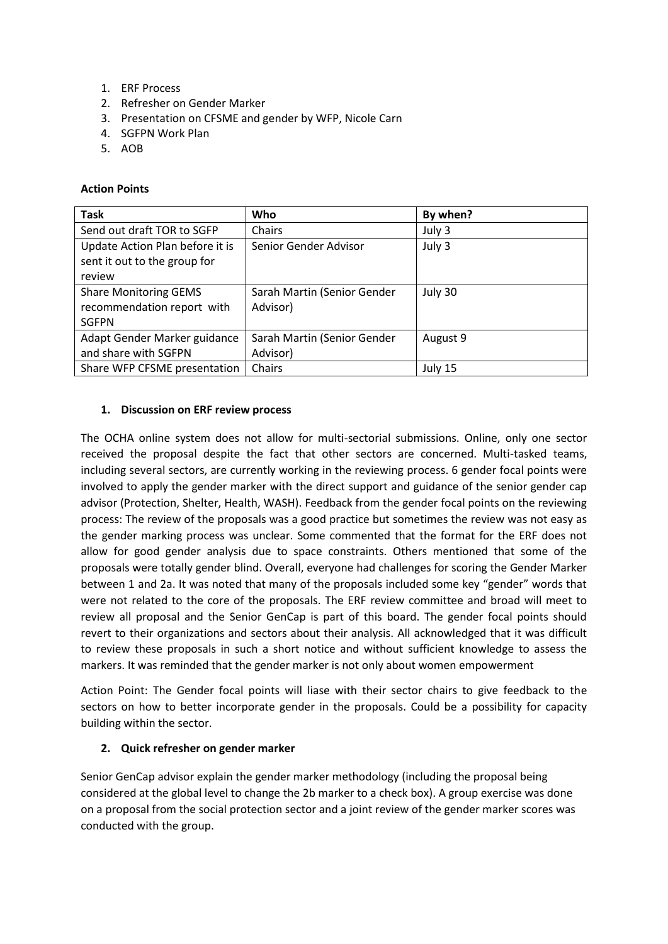- 1. ERF Process
- 2. Refresher on Gender Marker
- 3. Presentation on CFSME and gender by WFP, Nicole Carn
- 4. SGFPN Work Plan
- 5. AOB

#### **Action Points**

| <b>Task</b>                     | Who                         | By when? |
|---------------------------------|-----------------------------|----------|
| Send out draft TOR to SGFP      | Chairs                      | July 3   |
| Update Action Plan before it is | Senior Gender Advisor       | July 3   |
| sent it out to the group for    |                             |          |
| review                          |                             |          |
| <b>Share Monitoring GEMS</b>    | Sarah Martin (Senior Gender | July 30  |
| recommendation report with      | Advisor)                    |          |
| <b>SGFPN</b>                    |                             |          |
| Adapt Gender Marker guidance    | Sarah Martin (Senior Gender | August 9 |
| and share with SGFPN            | Advisor)                    |          |
| Share WFP CFSME presentation    | Chairs                      | July 15  |

#### **1. Discussion on ERF review process**

The OCHA online system does not allow for multi-sectorial submissions. Online, only one sector received the proposal despite the fact that other sectors are concerned. Multi-tasked teams, including several sectors, are currently working in the reviewing process. 6 gender focal points were involved to apply the gender marker with the direct support and guidance of the senior gender cap advisor (Protection, Shelter, Health, WASH). Feedback from the gender focal points on the reviewing process: The review of the proposals was a good practice but sometimes the review was not easy as the gender marking process was unclear. Some commented that the format for the ERF does not allow for good gender analysis due to space constraints. Others mentioned that some of the proposals were totally gender blind. Overall, everyone had challenges for scoring the Gender Marker between 1 and 2a. It was noted that many of the proposals included some key "gender" words that were not related to the core of the proposals. The ERF review committee and broad will meet to review all proposal and the Senior GenCap is part of this board. The gender focal points should revert to their organizations and sectors about their analysis. All acknowledged that it was difficult to review these proposals in such a short notice and without sufficient knowledge to assess the markers. It was reminded that the gender marker is not only about women empowerment

Action Point: The Gender focal points will liase with their sector chairs to give feedback to the sectors on how to better incorporate gender in the proposals. Could be a possibility for capacity building within the sector.

## **2. Quick refresher on gender marker**

Senior GenCap advisor explain the gender marker methodology (including the proposal being considered at the global level to change the 2b marker to a check box). A group exercise was done on a proposal from the social protection sector and a joint review of the gender marker scores was conducted with the group.